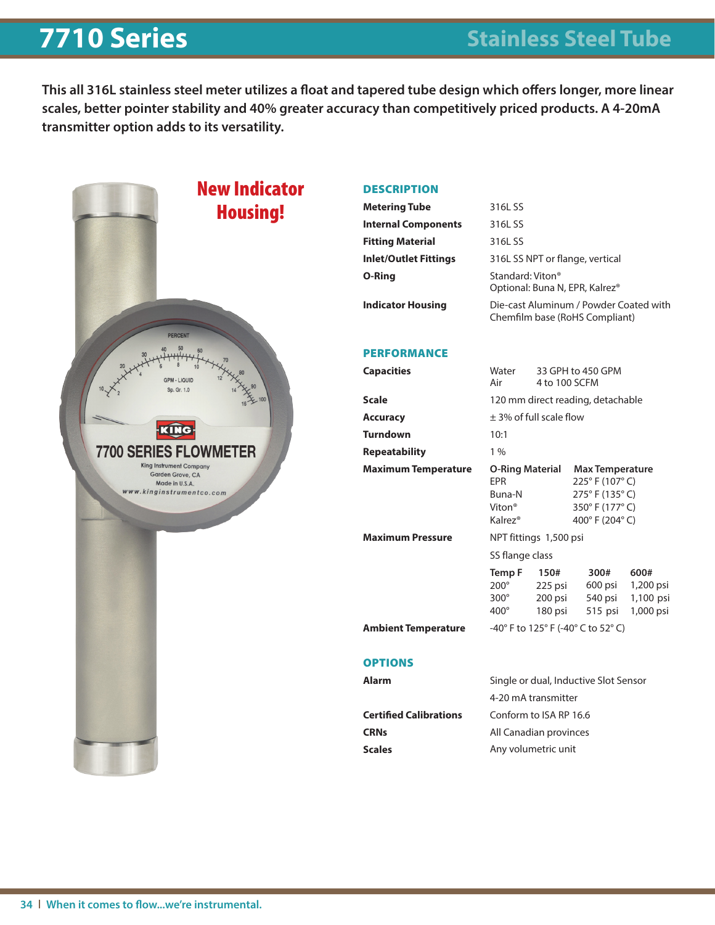## **7710 Series**

### **Stainless Steel Tube**

**This all 316L stainless steel meter utilizes a float and tapered tube design which offers longer, more linear scales, better pointer stability and 40% greater accuracy than competitively priced products. A 4-20mA transmitter option adds to its versatility.**

| <b>New Indicator</b>                                                                                                             | <b>DESCRIPTION</b>                                                                                                 |                                                                          |                                       |                                                                                            |                                             |  |  |  |  |
|----------------------------------------------------------------------------------------------------------------------------------|--------------------------------------------------------------------------------------------------------------------|--------------------------------------------------------------------------|---------------------------------------|--------------------------------------------------------------------------------------------|---------------------------------------------|--|--|--|--|
| <b>Housing!</b>                                                                                                                  | <b>Metering Tube</b><br>316L SS                                                                                    |                                                                          |                                       |                                                                                            |                                             |  |  |  |  |
|                                                                                                                                  | <b>Internal Components</b>                                                                                         | 316L SS                                                                  |                                       |                                                                                            |                                             |  |  |  |  |
|                                                                                                                                  | <b>Fitting Material</b>                                                                                            | 316L SS                                                                  |                                       |                                                                                            |                                             |  |  |  |  |
|                                                                                                                                  | <b>Inlet/Outlet Fittings</b>                                                                                       | 316L SS NPT or flange, vertical                                          |                                       |                                                                                            |                                             |  |  |  |  |
|                                                                                                                                  | <b>O-Ring</b>                                                                                                      | Standard: Viton <sup>®</sup><br>Optional: Buna N, EPR, Kalrez®           |                                       |                                                                                            |                                             |  |  |  |  |
| <b>PERCENT</b>                                                                                                                   | <b>Indicator Housing</b>                                                                                           | Die-cast Aluminum / Powder Coated with<br>Chemfilm base (RoHS Compliant) |                                       |                                                                                            |                                             |  |  |  |  |
|                                                                                                                                  | <b>PERFORMANCE</b>                                                                                                 |                                                                          |                                       |                                                                                            |                                             |  |  |  |  |
| <b>SPM - I IQUIID</b><br>Sp. Gr. 1.0                                                                                             | <b>Capacities</b>                                                                                                  | Water<br>33 GPH to 450 GPM<br>Air<br>4 to 100 SCFM                       |                                       |                                                                                            |                                             |  |  |  |  |
| <b>7700 SERIES FLOWMETER</b><br><b>King Instrument Company</b><br>Garden Grove, CA<br>Made in U.S.A.<br>www.kinginstrumentco.com | <b>Scale</b>                                                                                                       | 120 mm direct reading, detachable                                        |                                       |                                                                                            |                                             |  |  |  |  |
|                                                                                                                                  | <b>Accuracy</b>                                                                                                    | $±$ 3% of full scale flow                                                |                                       |                                                                                            |                                             |  |  |  |  |
|                                                                                                                                  | <b>Turndown</b>                                                                                                    | 10:1                                                                     |                                       |                                                                                            |                                             |  |  |  |  |
|                                                                                                                                  | <b>Repeatability</b>                                                                                               | 1%                                                                       |                                       |                                                                                            |                                             |  |  |  |  |
|                                                                                                                                  | <b>Maximum Temperature</b><br><b>O-Ring Material</b><br>EPR<br>Buna-N<br>Viton <sup>®</sup><br>Kalrez <sup>®</sup> |                                                                          |                                       | <b>Max Temperature</b><br>225°F (107°C)<br>275°F (135°C)<br>350°F (177°C)<br>400°F (204°C) |                                             |  |  |  |  |
|                                                                                                                                  | <b>Maximum Pressure</b>                                                                                            | NPT fittings 1,500 psi                                                   |                                       |                                                                                            |                                             |  |  |  |  |
|                                                                                                                                  |                                                                                                                    | SS flange class                                                          |                                       |                                                                                            |                                             |  |  |  |  |
|                                                                                                                                  |                                                                                                                    | Temp F<br>$200^\circ$<br>$300^\circ$<br>$400^\circ$                      | 150#<br>225 psi<br>200 psi<br>180 psi | 300#<br>600 psi<br>540 psi<br>515 psi                                                      | 600#<br>1,200 psi<br>1,100 psi<br>1,000 psi |  |  |  |  |
|                                                                                                                                  | <b>Ambient Temperature</b>                                                                                         | -40° F to 125° F (-40° C to 52° C)                                       |                                       |                                                                                            |                                             |  |  |  |  |
|                                                                                                                                  | <b>OPTIONS</b>                                                                                                     |                                                                          |                                       |                                                                                            |                                             |  |  |  |  |
|                                                                                                                                  | Single or dual, Inductive Slot Sensor<br><b>Alarm</b>                                                              |                                                                          |                                       |                                                                                            |                                             |  |  |  |  |
|                                                                                                                                  |                                                                                                                    | 4-20 mA transmitter                                                      |                                       |                                                                                            |                                             |  |  |  |  |
|                                                                                                                                  | <b>Certified Calibrations</b>                                                                                      | Conform to ISA RP 16.6                                                   |                                       |                                                                                            |                                             |  |  |  |  |
|                                                                                                                                  | <b>CRNs</b>                                                                                                        | All Canadian provinces                                                   |                                       |                                                                                            |                                             |  |  |  |  |
|                                                                                                                                  | <b>Scales</b>                                                                                                      | Any volumetric unit                                                      |                                       |                                                                                            |                                             |  |  |  |  |